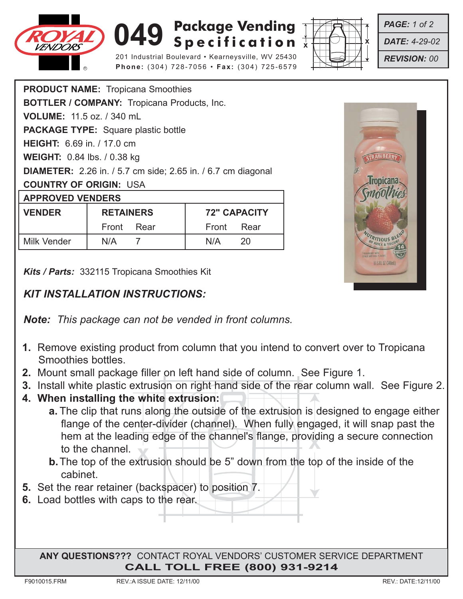

## **049** Specification  $\overline{\mathbf{x}}$ **Package Vending**

201 Industrial Boulevard • Kearneysville, WV 25430 **Phone:** (304) 728-7056 • **Fax:** (304) 725-6579



*PAGE: 1 of 2*

*DATE: 4-29-02*

*REVISION: 00*

| <b>PRODUCT NAME: Tropicana Smoothies</b>                            |                  |            |                     |      |
|---------------------------------------------------------------------|------------------|------------|---------------------|------|
| <b>BOTTLER / COMPANY: Tropicana Products, Inc.</b>                  |                  |            |                     |      |
| <b>VOLUME: 11.5 oz. / 340 mL</b>                                    |                  |            |                     |      |
| <b>PACKAGE TYPE:</b> Square plastic bottle                          |                  |            |                     |      |
| <b>HEIGHT:</b> 6.69 in. / 17.0 cm                                   |                  |            |                     |      |
| <b>WEIGHT:</b> 0.84 lbs. / 0.38 kg                                  |                  |            |                     |      |
| <b>DIAMETER:</b> 2.26 in. / 5.7 cm side; 2.65 in. / 6.7 cm diagonal |                  |            |                     |      |
| <b>COUNTRY OF ORIGIN: USA</b>                                       |                  |            |                     |      |
| <b>APPROVED VENDERS</b>                                             |                  |            |                     |      |
| <b>VENDER</b>                                                       | <b>RETAINERS</b> |            | <b>72" CAPACITY</b> |      |
|                                                                     |                  | Front Rear | Front               | Rear |
| Milk Vender                                                         | N/A              | 7          | N/A                 | 20   |

*Kits / Parts:* 332115 Tropicana Smoothies Kit

## *KIT INSTALLATION INSTRUCTIONS:*

*Note: This package can not be vended in front columns.*

- **1.** Remove existing product from column that you intend to convert over to Tropicana Smoothies bottles.
- **2.** Mount small package filler on left hand side of column. See Figure 1.
- **3.** Install white plastic extrusion on right hand side of the rear column wall. See Figure 2.
- **4. When installing the white extrusion:**
	- **INCREDIT AT the leading edge of the channel strainge, providing a secure connect<br>to the channel.<br><b>b.** The top of the extrusion should be 5" down from the top of the inside of the **a.** The clip that runs along the outside of the extrusion is designed to engage either flange of the center-divider (channel). When fully engaged, it will snap past the hem at the leading edge of the channel's flange, providing a secure connection to the channel.
	- cabinet.
- **5.** Set the rear retainer (backspacer) to position 7.
- **6.** Load bottles with caps to the rear.

**ANY QUESTIONS???** CONTACT ROYAL VENDORS' CUSTOMER SERVICE DEPARTMENT **CALL TOLL FREE (800) 931-9214**